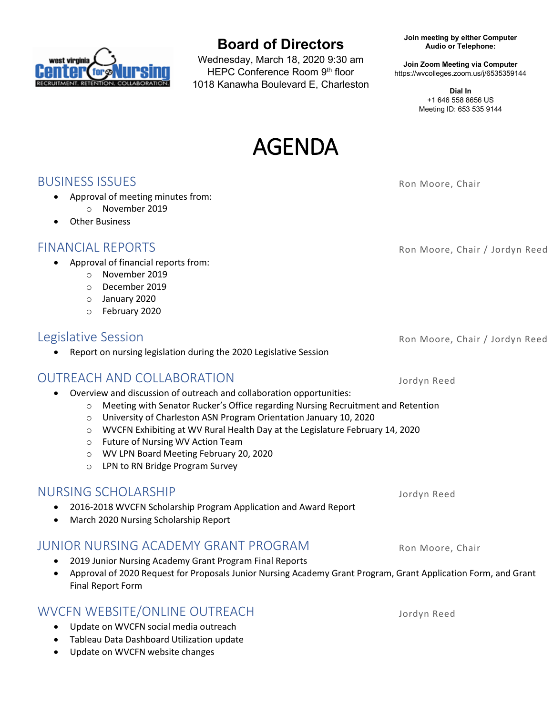

• Other Business

# **Board of Directors**

Wednesday, March 18, 2020 9:30 am HEPC Conference Room 9th floor 1018 Kanawha Boulevard E, Charleston **Join meeting by either Computer Audio or Telephone:**

**Join Zoom Meeting via Computer** https://wvcolleges.zoom.us/j/6535359144

> **Dial In** +1 646 558 8656 US Meeting ID: 653 535 9144



**BUSINESS ISSUES** Rom Moore, Chair

FINANCIAL REPORTS **Roman Contract Contract Contract Contract Contract Contract Contract Contract Contract Contract Contract Contract Contract Contract Contract Contract Contract Contract Contract Contract Contract Contract** 

Legislative Session **Route 2018** Ron Moore, Chair / Jordyn Reed

• Report on nursing legislation during the 2020 Legislative Session

## OUTREACH AND COLLABORATION Jordyn Reed

• Approval of meeting minutes from: o November 2019

• Approval of financial reports from: o November 2019 o December 2019 o January 2020 o February 2020

- Overview and discussion of outreach and collaboration opportunities:
	- o Meeting with Senator Rucker's Office regarding Nursing Recruitment and Retention
	- o University of Charleston ASN Program Orientation January 10, 2020
	- o WVCFN Exhibiting at WV Rural Health Day at the Legislature February 14, 2020
	- o Future of Nursing WV Action Team
	- o WV LPN Board Meeting February 20, 2020
	- o LPN to RN Bridge Program Survey

#### NURSING SCHOLARSHIP Jordyn Reed

- 2016-2018 WVCFN Scholarship Program Application and Award Report
- March 2020 Nursing Scholarship Report

### JUNIOR NURSING ACADEMY GRANT PROGRAM Ron Moore, Chair

- 2019 Junior Nursing Academy Grant Program Final Reports
- Approval of 2020 Request for Proposals Junior Nursing Academy Grant Program, Grant Application Form, and Grant Final Report Form

### WVCFN WEBSITE/ONLINE OUTREACH Jordyn Reed

- Update on WVCFN social media outreach
- Tableau Data Dashboard Utilization update
- Update on WVCFN website changes